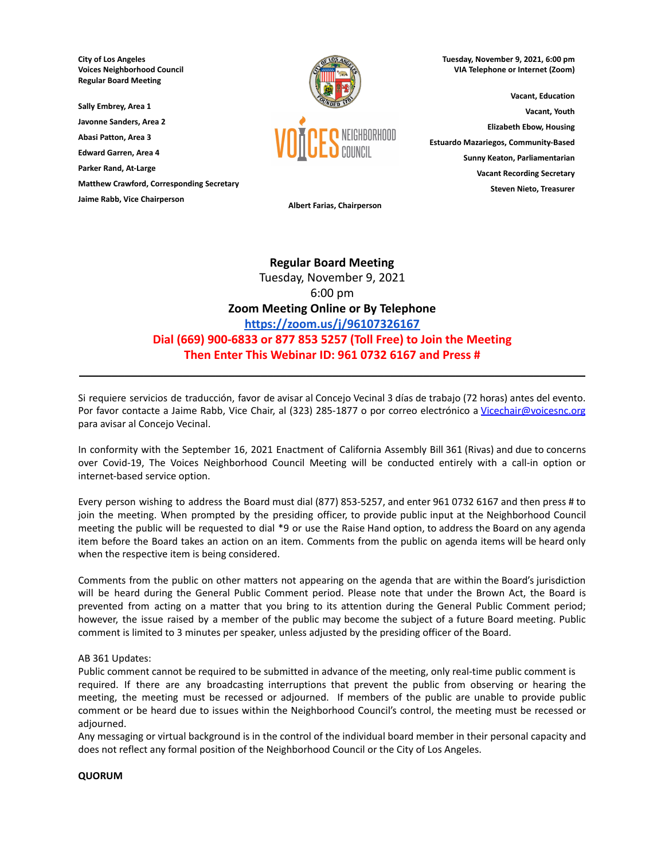**City of Los Angeles Voices Neighborhood Council Regular Board Meeting**

**Sally Embrey, Area 1**

**Javonne Sanders, Area 2 Abasi Patton, Area 3**

**Edward Garren, Area 4**

**Parker Rand, At-Large**

**Matthew Crawford, Corresponding Secretary**

**Jaime Rabb, Vice Chairperson**



**Tuesday, November 9, 2021, 6:00 pm VIA Telephone or Internet (Zoom)**

**Vacant, Education Vacant, Youth Elizabeth Ebow, Housing Estuardo Mazariegos, Community-Based Sunny Keaton, Parliamentarian Vacant Recording Secretary Steven Nieto, Treasurer**

**Albert Farias, Chairperson**

# **Regular Board Meeting** Tuesday, November 9, 2021 6:00 pm **Zoom Meeting Online or By Telephone <https://zoom.us/j/96107326167> Dial (669) 900-6833 or 877 853 5257 (Toll Free) to Join the Meeting Then Enter This Webinar ID: 961 0732 6167 and Press #**

Si requiere servicios de traducción, favor de avisar al Concejo Vecinal 3 días de trabajo (72 horas) antes del evento. Por favor contacte a Jaime Rabb, Vice Chair, al (323) 285-1877 o por correo electrónico a [Vicechair@voicesnc.org](mailto:VNCCorrSec18@gmail.com) para avisar al Concejo Vecinal.

**\_\_\_\_\_\_\_\_\_\_\_\_\_\_\_\_\_\_\_\_\_\_\_\_\_\_\_\_\_\_\_\_\_\_\_\_\_\_\_\_\_\_\_\_\_\_\_\_\_\_\_\_\_\_\_\_\_\_\_\_\_\_\_\_\_\_\_\_\_\_\_\_\_\_\_\_\_\_**

In conformity with the September 16, 2021 Enactment of California Assembly Bill 361 (Rivas) and due to concerns over Covid-19, The Voices Neighborhood Council Meeting will be conducted entirely with a call-in option or internet-based service option.

Every person wishing to address the Board must dial (877) 853-5257, and enter 961 0732 6167 and then press # to join the meeting. When prompted by the presiding officer, to provide public input at the Neighborhood Council meeting the public will be requested to dial \*9 or use the Raise Hand option, to address the Board on any agenda item before the Board takes an action on an item. Comments from the public on agenda items will be heard only when the respective item is being considered.

Comments from the public on other matters not appearing on the agenda that are within the Board's jurisdiction will be heard during the General Public Comment period. Please note that under the Brown Act, the Board is prevented from acting on a matter that you bring to its attention during the General Public Comment period; however, the issue raised by a member of the public may become the subject of a future Board meeting. Public comment is limited to 3 minutes per speaker, unless adjusted by the presiding officer of the Board.

# AB 361 Updates:

Public comment cannot be required to be submitted in advance of the meeting, only real-time public comment is required. If there are any broadcasting interruptions that prevent the public from observing or hearing the meeting, the meeting must be recessed or adjourned. If members of the public are unable to provide public comment or be heard due to issues within the Neighborhood Council's control, the meeting must be recessed or adjourned.

Any messaging or virtual background is in the control of the individual board member in their personal capacity and does not reflect any formal position of the Neighborhood Council or the City of Los Angeles.

# **QUORUM**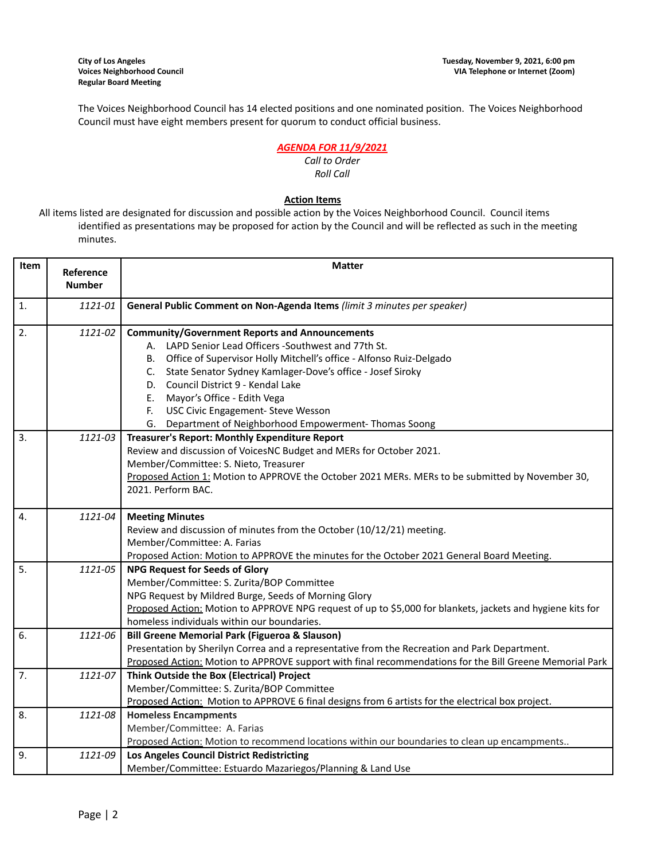The Voices Neighborhood Council has 14 elected positions and one nominated position. The Voices Neighborhood Council must have eight members present for quorum to conduct official business.

# *AGENDA FOR 11/9/2021*

#### *Call to Order Roll Call*

# **Action Items**

All items listed are designated for discussion and possible action by the Voices Neighborhood Council. Council items identified as presentations may be proposed for action by the Council and will be reflected as such in the meeting minutes.

| Item             | Reference     | <b>Matter</b>                                                                                              |
|------------------|---------------|------------------------------------------------------------------------------------------------------------|
|                  | <b>Number</b> |                                                                                                            |
| $\mathbf{1}$ .   | 1121-01       | General Public Comment on Non-Agenda Items (limit 3 minutes per speaker)                                   |
| 2.               | 1121-02       | <b>Community/Government Reports and Announcements</b>                                                      |
|                  |               | A. LAPD Senior Lead Officers -Southwest and 77th St.                                                       |
|                  |               | B. Office of Supervisor Holly Mitchell's office - Alfonso Ruiz-Delgado                                     |
|                  |               | C. State Senator Sydney Kamlager-Dove's office - Josef Siroky                                              |
|                  |               | D. Council District 9 - Kendal Lake                                                                        |
|                  |               | Mayor's Office - Edith Vega<br>E.                                                                          |
|                  |               | F.<br>USC Civic Engagement- Steve Wesson                                                                   |
|                  |               | G. Department of Neighborhood Empowerment-Thomas Soong                                                     |
| $\overline{3}$ . | 1121-03       | Treasurer's Report: Monthly Expenditure Report                                                             |
|                  |               | Review and discussion of VoicesNC Budget and MERs for October 2021.                                        |
|                  |               | Member/Committee: S. Nieto, Treasurer                                                                      |
|                  |               | Proposed Action 1: Motion to APPROVE the October 2021 MERs. MERs to be submitted by November 30,           |
|                  |               | 2021. Perform BAC.                                                                                         |
| 4.               | 1121-04       | <b>Meeting Minutes</b>                                                                                     |
|                  |               | Review and discussion of minutes from the October (10/12/21) meeting.                                      |
|                  |               | Member/Committee: A. Farias                                                                                |
|                  |               | Proposed Action: Motion to APPROVE the minutes for the October 2021 General Board Meeting.                 |
| 5.               | 1121-05       | <b>NPG Request for Seeds of Glory</b>                                                                      |
|                  |               | Member/Committee: S. Zurita/BOP Committee                                                                  |
|                  |               | NPG Request by Mildred Burge, Seeds of Morning Glory                                                       |
|                  |               | Proposed Action: Motion to APPROVE NPG request of up to \$5,000 for blankets, jackets and hygiene kits for |
|                  |               | homeless individuals within our boundaries.                                                                |
| 6.               | 1121-06       | <b>Bill Greene Memorial Park (Figueroa &amp; Slauson)</b>                                                  |
|                  |               | Presentation by Sherilyn Correa and a representative from the Recreation and Park Department.              |
|                  |               | Proposed Action: Motion to APPROVE support with final recommendations for the Bill Greene Memorial Park    |
| 7.               | 1121-07       | Think Outside the Box (Electrical) Project                                                                 |
|                  |               | Member/Committee: S. Zurita/BOP Committee                                                                  |
|                  |               | Proposed Action: Motion to APPROVE 6 final designs from 6 artists for the electrical box project.          |
| 8.               | 1121-08       | <b>Homeless Encampments</b>                                                                                |
|                  |               | Member/Committee: A. Farias                                                                                |
|                  |               | Proposed Action: Motion to recommend locations within our boundaries to clean up encampments               |
| 9.               | 1121-09       | Los Angeles Council District Redistricting                                                                 |
|                  |               | Member/Committee: Estuardo Mazariegos/Planning & Land Use                                                  |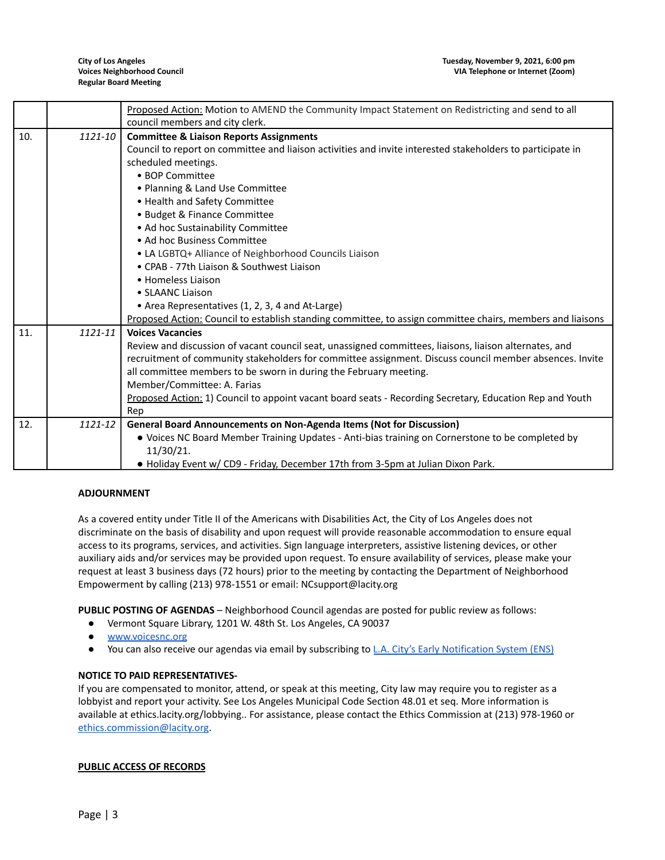|     |         | Proposed Action: Motion to AMEND the Community Impact Statement on Redistricting and send to all           |  |  |
|-----|---------|------------------------------------------------------------------------------------------------------------|--|--|
|     |         | council members and city clerk.                                                                            |  |  |
| 10. | 1121-10 | <b>Committee &amp; Liaison Reports Assignments</b>                                                         |  |  |
|     |         | Council to report on committee and liaison activities and invite interested stakeholders to participate in |  |  |
|     |         | scheduled meetings.                                                                                        |  |  |
|     |         | • BOP Committee                                                                                            |  |  |
|     |         | • Planning & Land Use Committee                                                                            |  |  |
|     |         | • Health and Safety Committee                                                                              |  |  |
|     |         | • Budget & Finance Committee                                                                               |  |  |
|     |         | • Ad hoc Sustainability Committee                                                                          |  |  |
|     |         | • Ad hoc Business Committee                                                                                |  |  |
|     |         | • LA LGBTQ+ Alliance of Neighborhood Councils Liaison                                                      |  |  |
|     |         | • CPAB - 77th Liaison & Southwest Liaison                                                                  |  |  |
|     |         | • Homeless Liaison                                                                                         |  |  |
|     |         | • SLAANC Liaison                                                                                           |  |  |
|     |         | • Area Representatives (1, 2, 3, 4 and At-Large)                                                           |  |  |
|     |         | Proposed Action: Council to establish standing committee, to assign committee chairs, members and liaisons |  |  |
| 11. | 1121-11 | <b>Voices Vacancies</b>                                                                                    |  |  |
|     |         | Review and discussion of vacant council seat, unassigned committees, liaisons, liaison alternates, and     |  |  |
|     |         | recruitment of community stakeholders for committee assignment. Discuss council member absences. Invite    |  |  |
|     |         | all committee members to be sworn in during the February meeting.                                          |  |  |
|     |         | Member/Committee: A. Farias                                                                                |  |  |
|     |         | Proposed Action: 1) Council to appoint vacant board seats - Recording Secretary, Education Rep and Youth   |  |  |
|     |         | Rep                                                                                                        |  |  |
| 12. | 1121-12 | General Board Announcements on Non-Agenda Items (Not for Discussion)                                       |  |  |
|     |         | . Voices NC Board Member Training Updates - Anti-bias training on Cornerstone to be completed by           |  |  |
|     |         | 11/30/21.                                                                                                  |  |  |
|     |         | . Holiday Event w/ CD9 - Friday, December 17th from 3-5pm at Julian Dixon Park.                            |  |  |

# **ADJOURNMENT**

As a covered entity under Title II of the Americans with Disabilities Act, the City of Los Angeles does not discriminate on the basis of disability and upon request will provide reasonable accommodation to ensure equal access to its programs, services, and activities. Sign language interpreters, assistive listening devices, or other auxiliary aids and/or services may be provided upon request. To ensure availability of services, please make your request at least 3 business days (72 hours) prior to the meeting by contacting the Department of Neighborhood Empowerment by calling (213) 978-1551 or email: NCsupport@lacity.org

**PUBLIC POSTING OF AGENDAS** – Neighborhood Council agendas are posted for public review as follows:

- Vermont Square Library, 1201 W. 48th St. Los Angeles, CA 90037
- [www.voicesnc.org](http://www.voicesnc.org)
- You can also receive our agendas via email by subscribing to L.A. City's Early [Notification](https://www.lacity.org/government/subscribe-agendasnotifications/neighborhood-councils) System (ENS)

#### **NOTICE TO PAID REPRESENTATIVES-**

If you are compensated to monitor, attend, or speak at this meeting, City law may require you to register as a lobbyist and report your activity. See Los Angeles Municipal Code Section 48.01 et seq. More information is available at ethics.lacity.org/lobbying.. For assistance, please contact the Ethics Commission at (213) 978-1960 or [ethics.commission@lacity.org](mailto:ethics.commission@lacity.org).

#### **PUBLIC ACCESS OF RECORDS**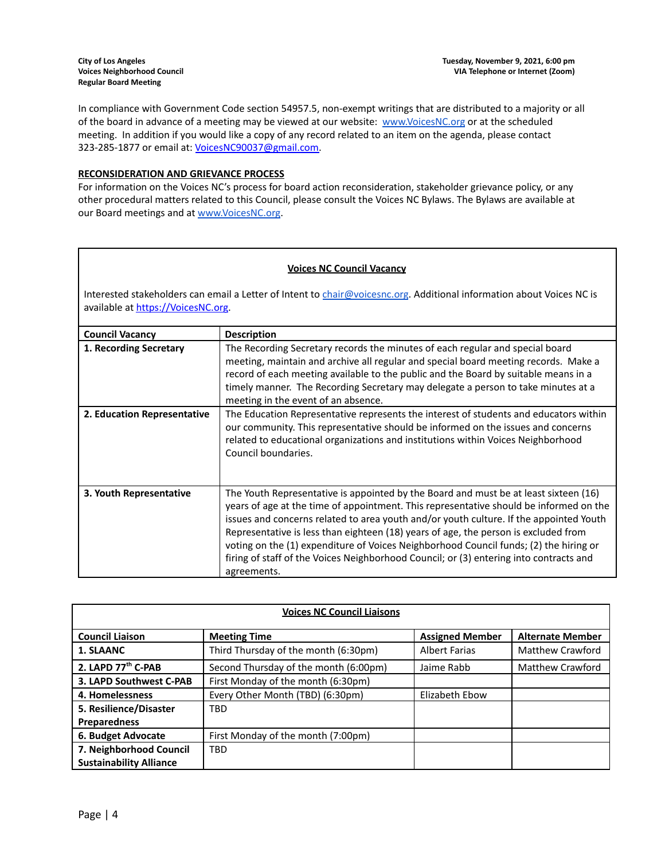In compliance with Government Code section 54957.5, non-exempt writings that are distributed to a majority or all of the board in advance of a meeting may be viewed at our website: [www.VoicesNC.org](http://www.voicesnc.org) or at the scheduled meeting. In addition if you would like a copy of any record related to an item on the agenda, please contact 323-285-1877 or email at: [VoicesNC90037@gmail.com.](mailto:VoicesNC90037@gmail.com)

# **RECONSIDERATION AND GRIEVANCE PROCESS**

For information on the Voices NC's process for board action reconsideration, stakeholder grievance policy, or any other procedural matters related to this Council, please consult the Voices NC Bylaws. The Bylaws are available at our Board meetings and at [www.VoicesNC.org](http://www.voicesnc.org).

#### **Voices NC Council Vacancy**

Interested stakeholders can email a Letter of Intent to [chair@voicesnc.org](mailto:chair@voicesnc.org). Additional information about Voices NC is available at [https://VoicesNC.org](https://protect-us.mimecast.com/s/E5C9CqxMrGcYVDosZ0ERi).

| <b>Council Vacancy</b>      | <b>Description</b>                                                                                                                                                                                                                                                                                                                                                                                                                                                                                                                                                |
|-----------------------------|-------------------------------------------------------------------------------------------------------------------------------------------------------------------------------------------------------------------------------------------------------------------------------------------------------------------------------------------------------------------------------------------------------------------------------------------------------------------------------------------------------------------------------------------------------------------|
| 1. Recording Secretary      | The Recording Secretary records the minutes of each regular and special board<br>meeting, maintain and archive all regular and special board meeting records. Make a<br>record of each meeting available to the public and the Board by suitable means in a<br>timely manner. The Recording Secretary may delegate a person to take minutes at a<br>meeting in the event of an absence.                                                                                                                                                                           |
| 2. Education Representative | The Education Representative represents the interest of students and educators within<br>our community. This representative should be informed on the issues and concerns<br>related to educational organizations and institutions within Voices Neighborhood<br>Council boundaries.                                                                                                                                                                                                                                                                              |
| 3. Youth Representative     | The Youth Representative is appointed by the Board and must be at least sixteen (16)<br>years of age at the time of appointment. This representative should be informed on the<br>issues and concerns related to area youth and/or youth culture. If the appointed Youth<br>Representative is less than eighteen (18) years of age, the person is excluded from<br>voting on the (1) expenditure of Voices Neighborhood Council funds; (2) the hiring or<br>firing of staff of the Voices Neighborhood Council; or (3) entering into contracts and<br>agreements. |

| <b>Voices NC Council Liaisons</b> |                                       |                        |                         |
|-----------------------------------|---------------------------------------|------------------------|-------------------------|
| <b>Council Liaison</b>            | <b>Meeting Time</b>                   | <b>Assigned Member</b> | <b>Alternate Member</b> |
| <b>1. SLAANC</b>                  | Third Thursday of the month (6:30pm)  | <b>Albert Farias</b>   | Matthew Crawford        |
| 2. LAPD 77th C-PAB                | Second Thursday of the month (6:00pm) | Jaime Rabb             | <b>Matthew Crawford</b> |
| 3. LAPD Southwest C-PAB           | First Monday of the month (6:30pm)    |                        |                         |
| 4. Homelessness                   | Every Other Month (TBD) (6:30pm)      | Elizabeth Ebow         |                         |
| 5. Resilience/Disaster            | <b>TBD</b>                            |                        |                         |
| <b>Preparedness</b>               |                                       |                        |                         |
| 6. Budget Advocate                | First Monday of the month (7:00pm)    |                        |                         |
| 7. Neighborhood Council           | <b>TBD</b>                            |                        |                         |
| <b>Sustainability Alliance</b>    |                                       |                        |                         |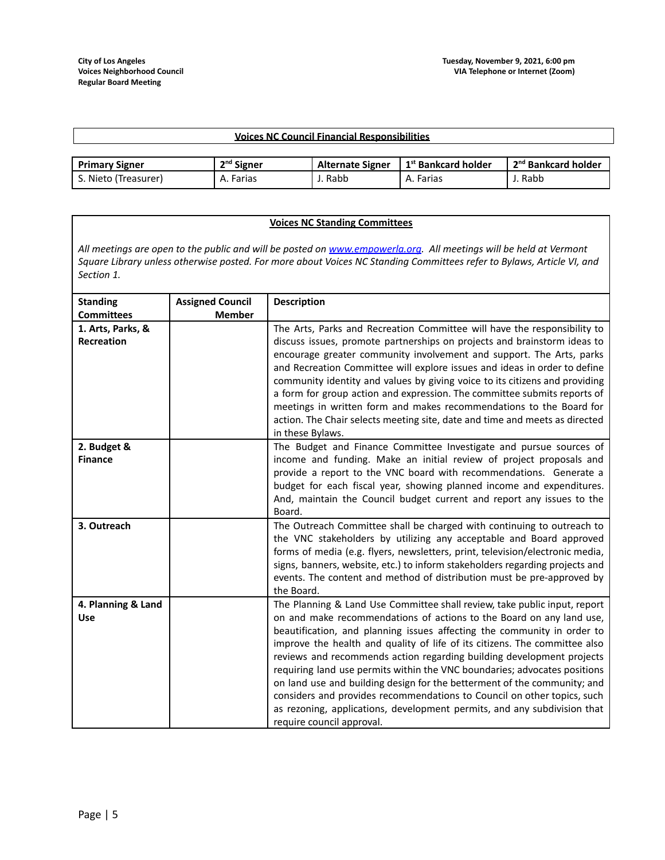### **Voices NC Council Financial Responsibilities**

| <b>Primary Signer</b> | <sup>nd</sup> Signer | <b>Alternate Signer</b> | r 1 <sup>st</sup> Bankcard holder | . 2 <sup>nd</sup> Bankcard holder |
|-----------------------|----------------------|-------------------------|-----------------------------------|-----------------------------------|
| د. Nieto (Treasurer)  | A. Farias            | J. Rabb                 | A. Farias                         | J. Rabb                           |

#### **Voices NC Standing Committees**

All meetings are open to the public and will be posted on [www.empowerla.org](http://www.empowerla.org). All meetings will be held at Vermont Square Library unless otherwise posted. For more about Voices NC Standing Committees refer to Bylaws, Article VI, and *Section 1.*

| <b>Standing</b>                        | <b>Assigned Council</b> | <b>Description</b>                                                                                                                                                                                                                                                                                                                                                                                                                                                                                                                                                                                                                                                                                                               |
|----------------------------------------|-------------------------|----------------------------------------------------------------------------------------------------------------------------------------------------------------------------------------------------------------------------------------------------------------------------------------------------------------------------------------------------------------------------------------------------------------------------------------------------------------------------------------------------------------------------------------------------------------------------------------------------------------------------------------------------------------------------------------------------------------------------------|
| <b>Committees</b>                      | <b>Member</b>           |                                                                                                                                                                                                                                                                                                                                                                                                                                                                                                                                                                                                                                                                                                                                  |
| 1. Arts, Parks, &<br><b>Recreation</b> |                         | The Arts, Parks and Recreation Committee will have the responsibility to<br>discuss issues, promote partnerships on projects and brainstorm ideas to<br>encourage greater community involvement and support. The Arts, parks<br>and Recreation Committee will explore issues and ideas in order to define<br>community identity and values by giving voice to its citizens and providing<br>a form for group action and expression. The committee submits reports of<br>meetings in written form and makes recommendations to the Board for<br>action. The Chair selects meeting site, date and time and meets as directed<br>in these Bylaws.                                                                                   |
| 2. Budget &<br><b>Finance</b>          |                         | The Budget and Finance Committee Investigate and pursue sources of<br>income and funding. Make an initial review of project proposals and<br>provide a report to the VNC board with recommendations. Generate a<br>budget for each fiscal year, showing planned income and expenditures.<br>And, maintain the Council budget current and report any issues to the<br>Board.                                                                                                                                                                                                                                                                                                                                                      |
| 3. Outreach                            |                         | The Outreach Committee shall be charged with continuing to outreach to<br>the VNC stakeholders by utilizing any acceptable and Board approved<br>forms of media (e.g. flyers, newsletters, print, television/electronic media,<br>signs, banners, website, etc.) to inform stakeholders regarding projects and<br>events. The content and method of distribution must be pre-approved by<br>the Board.                                                                                                                                                                                                                                                                                                                           |
| 4. Planning & Land<br>Use              |                         | The Planning & Land Use Committee shall review, take public input, report<br>on and make recommendations of actions to the Board on any land use,<br>beautification, and planning issues affecting the community in order to<br>improve the health and quality of life of its citizens. The committee also<br>reviews and recommends action regarding building development projects<br>requiring land use permits within the VNC boundaries; advocates positions<br>on land use and building design for the betterment of the community; and<br>considers and provides recommendations to Council on other topics, such<br>as rezoning, applications, development permits, and any subdivision that<br>require council approval. |